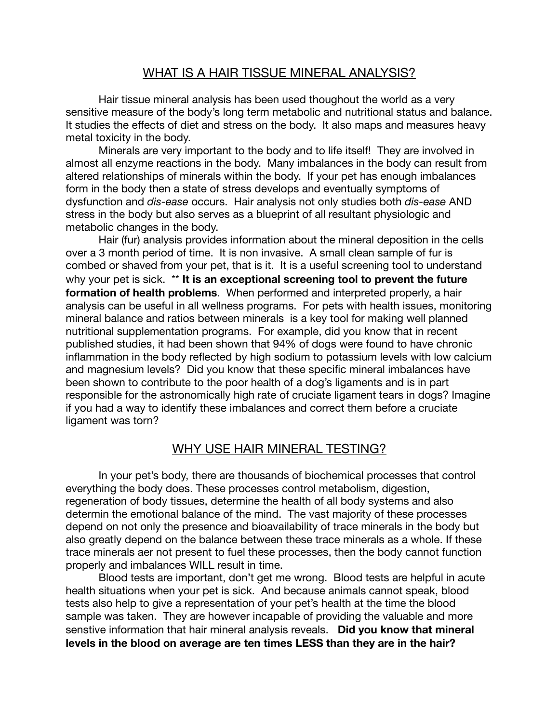### WHAT IS A HAIR TISSUE MINERAL ANALYSIS?

Hair tissue mineral analysis has been used thoughout the world as a very sensitive measure of the body's long term metabolic and nutritional status and balance. It studies the effects of diet and stress on the body. It also maps and measures heavy metal toxicity in the body.

Minerals are very important to the body and to life itself! They are involved in almost all enzyme reactions in the body. Many imbalances in the body can result from altered relationships of minerals within the body. If your pet has enough imbalances form in the body then a state of stress develops and eventually symptoms of dysfunction and *dis-ease* occurs. Hair analysis not only studies both *dis-ease* AND stress in the body but also serves as a blueprint of all resultant physiologic and metabolic changes in the body.

Hair (fur) analysis provides information about the mineral deposition in the cells over a 3 month period of time. It is non invasive. A small clean sample of fur is combed or shaved from your pet, that is it. It is a useful screening tool to understand why your pet is sick. \*\* **It is an exceptional screening tool to prevent the future formation of health problems**. When performed and interpreted properly, a hair analysis can be useful in all wellness programs. For pets with health issues, monitoring mineral balance and ratios between minerals is a key tool for making well planned nutritional supplementation programs. For example, did you know that in recent published studies, it had been shown that 94% of dogs were found to have chronic inflammation in the body reflected by high sodium to potassium levels with low calcium and magnesium levels? Did you know that these specific mineral imbalances have been shown to contribute to the poor health of a dog's ligaments and is in part responsible for the astronomically high rate of cruciate ligament tears in dogs? Imagine if you had a way to identify these imbalances and correct them before a cruciate ligament was torn?

## WHY USE HAIR MINERAL TESTING?

In your pet's body, there are thousands of biochemical processes that control everything the body does. These processes control metabolism, digestion, regeneration of body tissues, determine the health of all body systems and also determin the emotional balance of the mind. The vast majority of these processes depend on not only the presence and bioavailability of trace minerals in the body but also greatly depend on the balance between these trace minerals as a whole. If these trace minerals aer not present to fuel these processes, then the body cannot function properly and imbalances WILL result in time.

Blood tests are important, don't get me wrong. Blood tests are helpful in acute health situations when your pet is sick. And because animals cannot speak, blood tests also help to give a representation of your pet's health at the time the blood sample was taken. They are however incapable of providing the valuable and more senstive information that hair mineral analysis reveals. **Did you know that mineral levels in the blood on average are ten times LESS than they are in the hair?**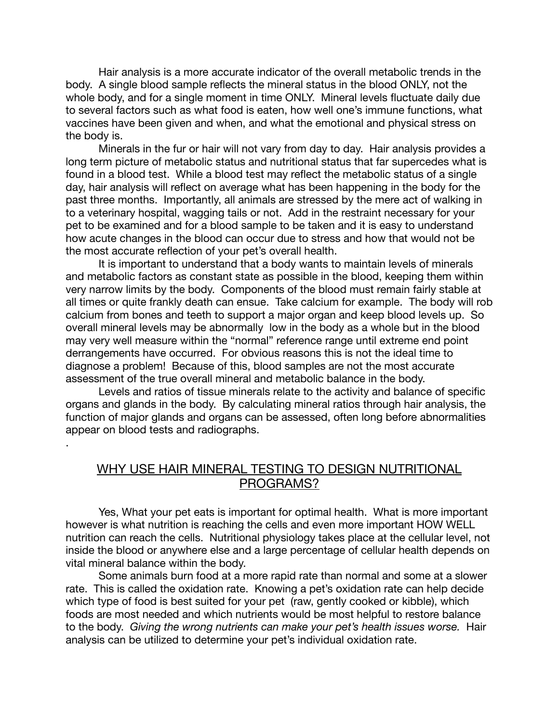Hair analysis is a more accurate indicator of the overall metabolic trends in the body. A single blood sample reflects the mineral status in the blood ONLY, not the whole body, and for a single moment in time ONLY. Mineral levels fluctuate daily due to several factors such as what food is eaten, how well one's immune functions, what vaccines have been given and when, and what the emotional and physical stress on the body is.

Minerals in the fur or hair will not vary from day to day. Hair analysis provides a long term picture of metabolic status and nutritional status that far supercedes what is found in a blood test. While a blood test may reflect the metabolic status of a single day, hair analysis will reflect on average what has been happening in the body for the past three months. Importantly, all animals are stressed by the mere act of walking in to a veterinary hospital, wagging tails or not. Add in the restraint necessary for your pet to be examined and for a blood sample to be taken and it is easy to understand how acute changes in the blood can occur due to stress and how that would not be the most accurate reflection of your pet's overall health.

It is important to understand that a body wants to maintain levels of minerals and metabolic factors as constant state as possible in the blood, keeping them within very narrow limits by the body. Components of the blood must remain fairly stable at all times or quite frankly death can ensue. Take calcium for example. The body will rob calcium from bones and teeth to support a major organ and keep blood levels up. So overall mineral levels may be abnormally low in the body as a whole but in the blood may very well measure within the "normal" reference range until extreme end point derrangements have occurred. For obvious reasons this is not the ideal time to diagnose a problem! Because of this, blood samples are not the most accurate assessment of the true overall mineral and metabolic balance in the body.

Levels and ratios of tissue minerals relate to the activity and balance of specific organs and glands in the body. By calculating mineral ratios through hair analysis, the function of major glands and organs can be assessed, often long before abnormalities appear on blood tests and radiographs.

.

### WHY USE HAIR MINERAL TESTING TO DESIGN NUTRITIONAL PROGRAMS?

Yes, What your pet eats is important for optimal health. What is more important however is what nutrition is reaching the cells and even more important HOW WELL nutrition can reach the cells. Nutritional physiology takes place at the cellular level, not inside the blood or anywhere else and a large percentage of cellular health depends on vital mineral balance within the body.

Some animals burn food at a more rapid rate than normal and some at a slower rate. This is called the oxidation rate. Knowing a pet's oxidation rate can help decide which type of food is best suited for your pet (raw, gently cooked or kibble), which foods are most needed and which nutrients would be most helpful to restore balance to the body. *Giving the wrong nutrients can make your pet's health issues worse.* Hair analysis can be utilized to determine your pet's individual oxidation rate.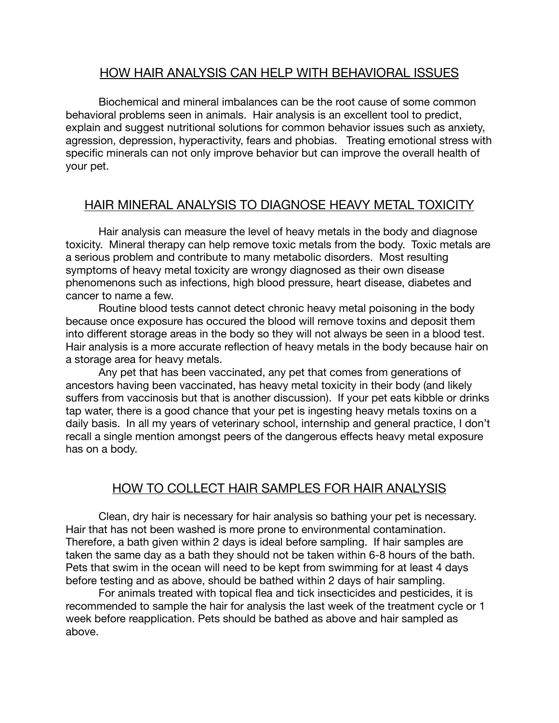## HOW HAIR ANALYSIS CAN HELP WITH BEHAVIORAL ISSUES

Biochemical and mineral imbalances can be the root cause of some common behavioral problems seen in animals. Hair analysis is an excellent tool to predict, explain and suggest nutritional solutions for common behavior issues such as anxiety, agression, depression, hyperactivity, fears and phobias. Treating emotional stress with specific minerals can not only improve behavior but can improve the overall health of your pet.

## HAIR MINERAL ANALYSIS TO DIAGNOSE HEAVY METAL TOXICITY

Hair analysis can measure the level of heavy metals in the body and diagnose toxicity. Mineral therapy can help remove toxic metals from the body. Toxic metals are a serious problem and contribute to many metabolic disorders. Most resulting symptoms of heavy metal toxicity are wrongy diagnosed as their own disease phenomenons such as infections, high blood pressure, heart disease, diabetes and cancer to name a few.

Routine blood tests cannot detect chronic heavy metal poisoning in the body because once exposure has occured the blood will remove toxins and deposit them into different storage areas in the body so they will not always be seen in a blood test. Hair analysis is a more accurate reflection of heavy metals in the body because hair on a storage area for heavy metals.

Any pet that has been vaccinated, any pet that comes from generations of ancestors having been vaccinated, has heavy metal toxicity in their body (and likely suffers from vaccinosis but that is another discussion). If your pet eats kibble or drinks tap water, there is a good chance that your pet is ingesting heavy metals toxins on a daily basis. In all my years of veterinary school, internship and general practice, I don't recall a single mention amongst peers of the dangerous effects heavy metal exposure has on a body.

# HOW TO COLLECT HAIR SAMPLES FOR HAIR ANALYSIS

Clean, dry hair is necessary for hair analysis so bathing your pet is necessary. Hair that has not been washed is more prone to environmental contamination. Therefore, a bath given within 2 days is ideal before sampling. If hair samples are taken the same day as a bath they should not be taken within 6-8 hours of the bath. Pets that swim in the ocean will need to be kept from swimming for at least 4 days before testing and as above, should be bathed within 2 days of hair sampling.

For animals treated with topical flea and tick insecticides and pesticides, it is recommended to sample the hair for analysis the last week of the treatment cycle or 1 week before reapplication. Pets should be bathed as above and hair sampled as above.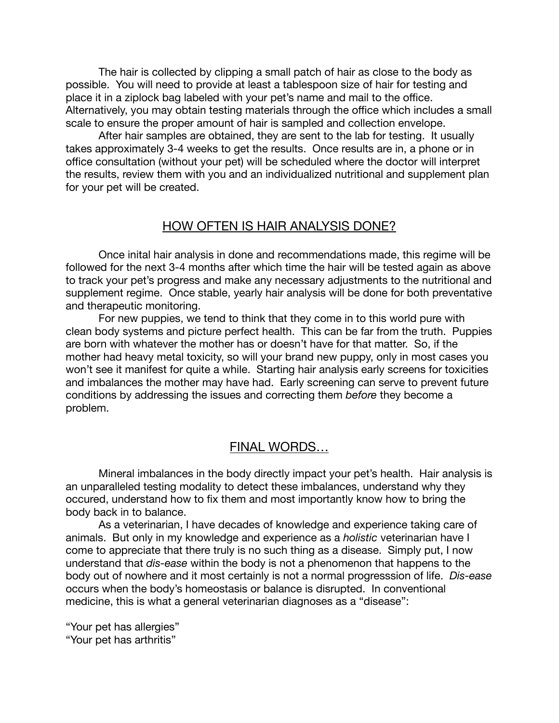The hair is collected by clipping a small patch of hair as close to the body as possible. You will need to provide at least a tablespoon size of hair for testing and place it in a ziplock bag labeled with your pet's name and mail to the office. Alternatively, you may obtain testing materials through the office which includes a small scale to ensure the proper amount of hair is sampled and collection envelope.

After hair samples are obtained, they are sent to the lab for testing. It usually takes approximately 3-4 weeks to get the results. Once results are in, a phone or in office consultation (without your pet) will be scheduled where the doctor will interpret the results, review them with you and an individualized nutritional and supplement plan for your pet will be created.

### HOW OFTEN IS HAIR ANALYSIS DONE?

Once inital hair analysis in done and recommendations made, this regime will be followed for the next 3-4 months after which time the hair will be tested again as above to track your pet's progress and make any necessary adjustments to the nutritional and supplement regime. Once stable, yearly hair analysis will be done for both preventative and therapeutic monitoring.

For new puppies, we tend to think that they come in to this world pure with clean body systems and picture perfect health. This can be far from the truth. Puppies are born with whatever the mother has or doesn't have for that matter. So, if the mother had heavy metal toxicity, so will your brand new puppy, only in most cases you won't see it manifest for quite a while. Starting hair analysis early screens for toxicities and imbalances the mother may have had. Early screening can serve to prevent future conditions by addressing the issues and correcting them *before* they become a problem.

## FINAL WORDS…

Mineral imbalances in the body directly impact your pet's health. Hair analysis is an unparalleled testing modality to detect these imbalances, understand why they occured, understand how to fix them and most importantly know how to bring the body back in to balance.

As a veterinarian, I have decades of knowledge and experience taking care of animals. But only in my knowledge and experience as a *holistic* veterinarian have I come to appreciate that there truly is no such thing as a disease. Simply put, I now understand that *dis-ease* within the body is not a phenomenon that happens to the body out of nowhere and it most certainly is not a normal progresssion of life. *Dis-ease* occurs when the body's homeostasis or balance is disrupted. In conventional medicine, this is what a general veterinarian diagnoses as a "disease":

"Your pet has allergies" "Your pet has arthritis"